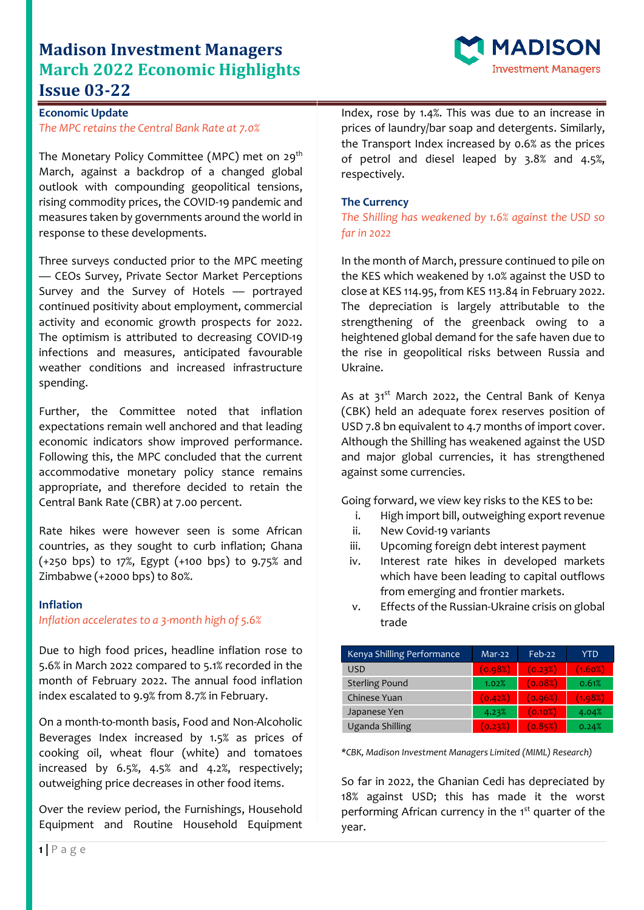# **Madison Investment Managers March 2022 Economic Highlights Issue 03-22**



## **Economic Update** *The MPC retains the Central Bank Rate at 7.0%*

The Monetary Policy Committee (MPC) met on 29<sup>th</sup> March, against a backdrop of a changed global outlook with compounding geopolitical tensions, rising commodity prices, the COVID-19 pandemic and measures taken by governments around the world in response to these developments.

Three surveys conducted prior to the MPC meeting — CEOs Survey, Private Sector Market Perceptions Survey and the Survey of Hotels — portrayed continued positivity about employment, commercial activity and economic growth prospects for 2022. The optimism is attributed to decreasing COVID-19 infections and measures, anticipated favourable weather conditions and increased infrastructure spending.

Further, the Committee noted that inflation expectations remain well anchored and that leading economic indicators show improved performance. Following this, the MPC concluded that the current accommodative monetary policy stance remains appropriate, and therefore decided to retain the Central Bank Rate (CBR) at 7.00 percent.

Rate hikes were however seen is some African countries, as they sought to curb inflation; Ghana (+250 bps) to 17%, Egypt (+100 bps) to 9.75% and Zimbabwe (+2000 bps) to 80%.

### **Inflation**

### *Inflation accelerates to a 3-month high of 5.6%*

Due to high food prices, headline inflation rose to 5.6% in March 2022 compared to 5.1% recorded in the month of February 2022. The annual food inflation index escalated to 9.9% from 8.7% in February.

On a month-to-month basis, Food and Non-Alcoholic Beverages Index increased by 1.5% as prices of cooking oil, wheat flour (white) and tomatoes increased by 6.5%, 4.5% and 4.2%, respectively; outweighing price decreases in other food items.

Over the review period, the Furnishings, Household Equipment and Routine Household Equipment Index, rose by 1.4%. This was due to an increase in prices of laundry/bar soap and detergents. Similarly, the Transport Index increased by 0.6% as the prices of petrol and diesel leaped by 3.8% and 4.5%, respectively.

### **The Currency**

*The Shilling has weakened by 1.6% against the USD so far in 2022*

In the month of March, pressure continued to pile on the KES which weakened by 1.0% against the USD to close at KES 114.95, from KES 113.84 in February 2022. The depreciation is largely attributable to the strengthening of the greenback owing to a heightened global demand for the safe haven due to the rise in geopolitical risks between Russia and Ukraine.

As at  $31^{st}$  March 2022, the Central Bank of Kenya (CBK) held an adequate forex reserves position of USD 7.8 bn equivalent to 4.7 months of import cover. Although the Shilling has weakened against the USD and major global currencies, it has strengthened against some currencies.

Going forward, we view key risks to the KES to be:

- i. High import bill, outweighing export revenue
- ii. New Covid-19 variants
- iii. Upcoming foreign debt interest payment
- iv. Interest rate hikes in developed markets which have been leading to capital outflows from emerging and frontier markets.
- v. Effects of the Russian-Ukraine crisis on global trade

| Kenya Shilling Performance | Mar-22  | $Feb-22$   | YTD        |
|----------------------------|---------|------------|------------|
| USD                        | (0.98%) | (0.23%)    | $(1.60\%)$ |
| <b>Sterling Pound</b>      | 1.02%   | (0.08%)    | 0.61%      |
| Chinese Yuan               | (0.42%) | (0.96%)    | (1.98%)    |
| Japanese Yen               | 4.23%   | $(0.10\%)$ | 4.04%      |
| Uganda Shilling            | (0.23%) | (0.85%)    | 0.24%      |

*\*CBK, Madison Investment Managers Limited (MIML) Research)*

So far in 2022, the Ghanian Cedi has depreciated by 18% against USD; this has made it the worst performing African currency in the 1<sup>st</sup> quarter of the year.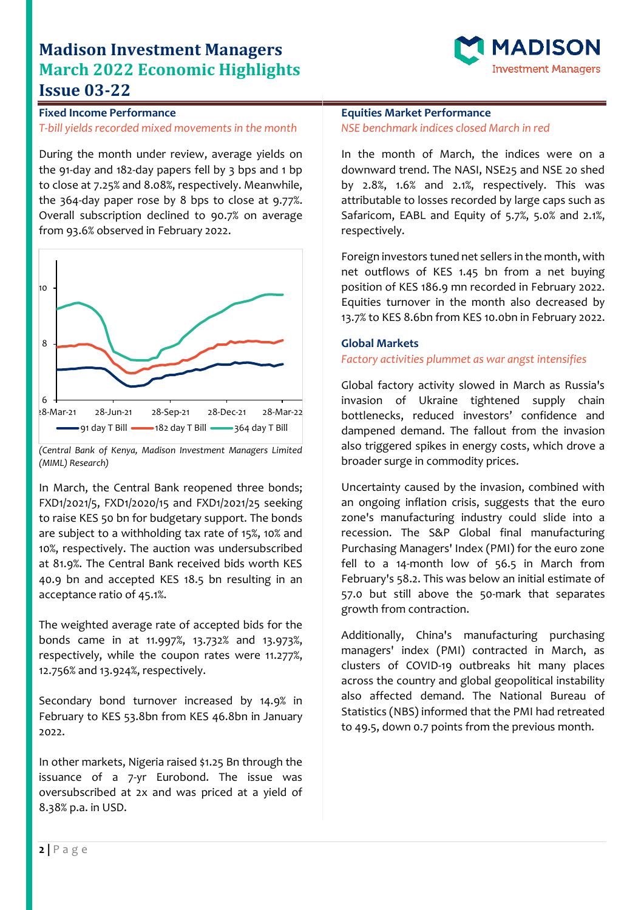# **Madison Investment Managers March 2022 Economic Highlights Issue 03-22**



**Fixed Income Performance** *T-bill yields recorded mixed movements in the month*

During the month under review, average yields on the 91-day and 182-day papers fell by 3 bps and 1 bp to close at 7.25% and 8.08%, respectively. Meanwhile, the 364-day paper rose by 8 bps to close at 9.77%. Overall subscription declined to 90.7% on average from 93.6% observed in February 2022.



*<sup>(</sup>Central Bank of Kenya, Madison Investment Managers Limited (MIML) Research)*

In March, the Central Bank reopened three bonds; FXD1/2021/5, FXD1/2020/15 and FXD1/2021/25 seeking to raise KES 50 bn for budgetary support. The bonds are subject to a withholding tax rate of 15%, 10% and 10%, respectively. The auction was undersubscribed at 81.9%. The Central Bank received bids worth KES 40.9 bn and accepted KES 18.5 bn resulting in an acceptance ratio of 45.1%.

The weighted average rate of accepted bids for the bonds came in at 11.997%, 13.732% and 13.973%, respectively, while the coupon rates were 11.277%, 12.756% and 13.924%, respectively.

Secondary bond turnover increased by 14.9% in February to KES 53.8bn from KES 46.8bn in January 2022.

In other markets, Nigeria raised \$1.25 Bn through the issuance of a 7-yr Eurobond. The issue was oversubscribed at 2x and was priced at a yield of 8.38% p.a. in USD.

#### **Equities Market Performance** *NSE benchmark indices closed March in red*

In the month of March, the indices were on a downward trend. The NASI, NSE25 and NSE 20 shed by 2.8%, 1.6% and 2.1%, respectively. This was attributable to losses recorded by large caps such as Safaricom, EABL and Equity of 5.7%, 5.0% and 2.1%, respectively.

Foreign investors tuned net sellers in the month, with net outflows of KES 1.45 bn from a net buying position of KES 186.9 mn recorded in February 2022. Equities turnover in the month also decreased by 13.7% to KES 8.6bn from KES 10.0bn in February 2022.

#### **Global Markets**

#### *Factory activities plummet as war angst intensifies*

Global factory activity slowed in March as Russia's invasion of Ukraine tightened supply chain bottlenecks, reduced investors' confidence and dampened demand. The fallout from the invasion also triggered spikes in energy costs, which drove a broader surge in commodity prices.

Uncertainty caused by the invasion, combined with an ongoing inflation crisis, suggests that the euro zone's manufacturing industry could slide into a recession. The S&P Global final manufacturing Purchasing Managers' Index (PMI) for the euro zone fell to a 14-month low of 56.5 in March from February's 58.2. This was below an initial estimate of 57.0 but still above the 50-mark that separates growth from contraction.

Additionally, China's manufacturing purchasing managers' index (PMI) contracted in March, as clusters of COVID-19 outbreaks hit many places across the country and global geopolitical instability also affected demand. The National Bureau of Statistics (NBS) informed that the PMI had retreated to 49.5, down 0.7 points from the previous month.